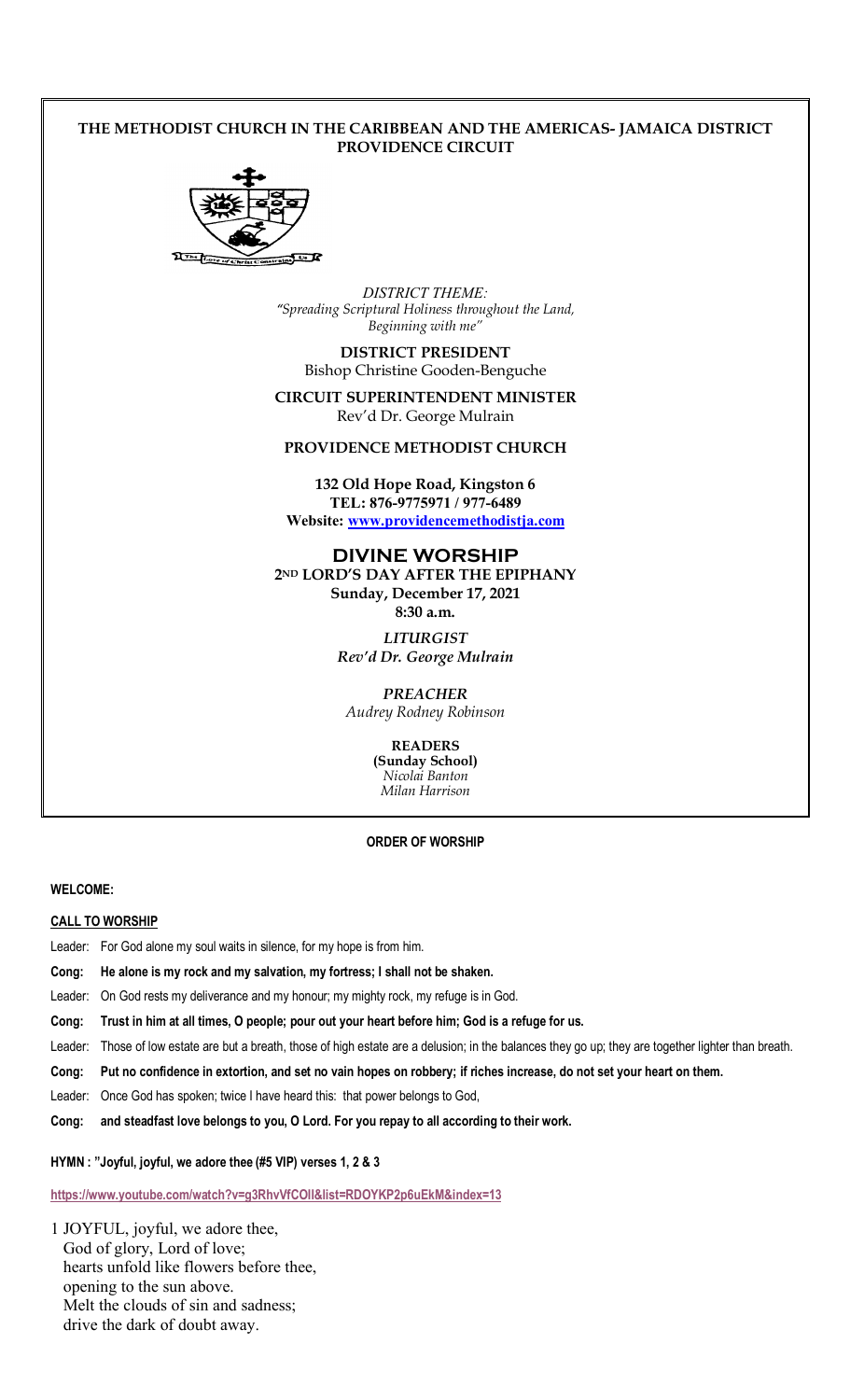# **THE METHODIST CHURCH IN THE CARIBBEAN AND THE AMERICAS- JAMAICA DISTRICT PROVIDENCE CIRCUIT**



*DISTRICT THEME: "Spreading Scriptural Holiness throughout the Land, Beginning with me"*

**DISTRICT PRESIDENT**  Bishop Christine Gooden-Benguche

**CIRCUIT SUPERINTENDENT MINISTER** Rev'd Dr. George Mulrain

**PROVIDENCE METHODIST CHURCH** 

**132 Old Hope Road, Kingston 6 TEL: 876-9775971 / 977-6489 Website: www.providencemethodistja.com**

**DIVINE WORSHIP 2ND LORD'S DAY AFTER THE EPIPHANY**

**Sunday, December 17, 2021 8:30 a.m.** 

> *LITURGIST Rev'd Dr. George Mulrain*

*PREACHER Audrey Rodney Robinson*

> **READERS (Sunday School)** *Nicolai Banton Milan Harrison*

**ORDER OF WORSHIP**

**WELCOME:**

## **CALL TO WORSHIP**

Leader: For God alone my soul waits in silence, for my hope is from him.

**Cong: He alone is my rock and my salvation, my fortress; I shall not be shaken.**

Leader: On God rests my deliverance and my honour; my mighty rock, my refuge is in God.

**Cong: Trust in him at all times, O people; pour out your heart before him; God is a refuge for us.**

Leader: Those of low estate are but a breath, those of high estate are a delusion; in the balances they go up; they are together lighter than breath.

**Cong: Put no confidence in extortion, and set no vain hopes on robbery; if riches increase, do not set your heart on them.**

Leader: Once God has spoken; twice I have heard this: that power belongs to God,

**Cong: and steadfast love belongs to you, O Lord. For you repay to all according to their work.**

**HYMN : "Joyful, joyful, we adore thee (#5 VIP) verses 1, 2 & 3** 

**https://www.youtube.com/watch?v=g3RhvVfCOII&list=RDOYKP2p6uEkM&index=13**

1 JOYFUL, joyful, we adore thee, God of glory, Lord of love; hearts unfold like flowers before thee, opening to the sun above. Melt the clouds of sin and sadness; drive the dark of doubt away.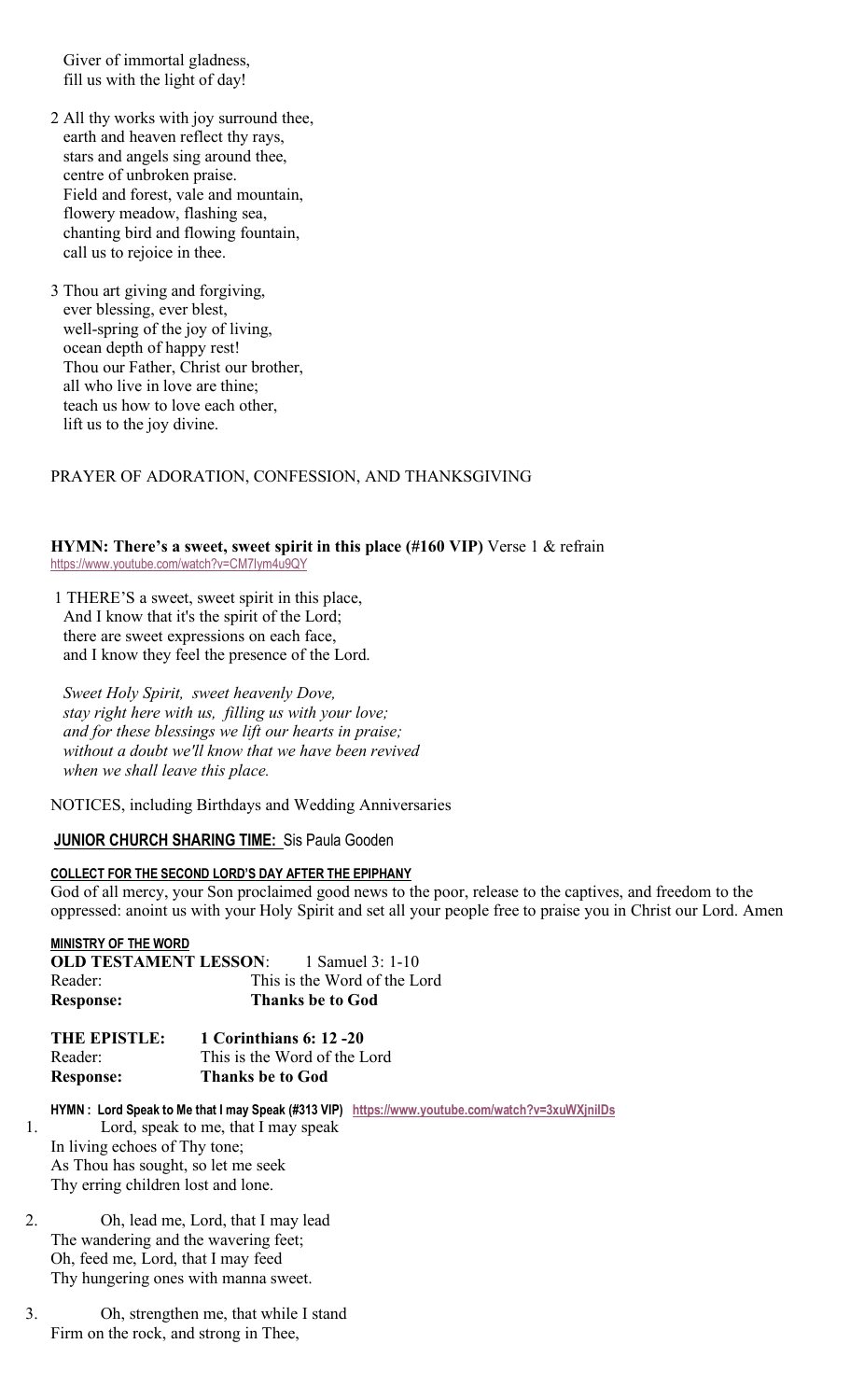Giver of immortal gladness, fill us with the light of day!

- 2 All thy works with joy surround thee, earth and heaven reflect thy rays, stars and angels sing around thee, centre of unbroken praise. Field and forest, vale and mountain, flowery meadow, flashing sea, chanting bird and flowing fountain, call us to rejoice in thee.
- 3 Thou art giving and forgiving, ever blessing, ever blest, well-spring of the joy of living, ocean depth of happy rest! Thou our Father, Christ our brother, all who live in love are thine; teach us how to love each other, lift us to the joy divine.

# PRAYER OF ADORATION, CONFESSION, AND THANKSGIVING

**HYMN: There's a sweet, sweet spirit in this place (#160 VIP)** Verse 1 & refrain https://www.youtube.com/watch?v=CM7Iym4u9QY

1 THERE'S a sweet, sweet spirit in this place, And I know that it's the spirit of the Lord; there are sweet expressions on each face, and I know they feel the presence of the Lord.

 *Sweet Holy Spirit, sweet heavenly Dove, stay right here with us, filling us with your love; and for these blessings we lift our hearts in praise; without a doubt we'll know that we have been revived when we shall leave this place.*

NOTICES, including Birthdays and Wedding Anniversaries

# **JUNIOR CHURCH SHARING TIME:** Sis Paula Gooden

## **COLLECT FOR THE SECOND LORD'S DAY AFTER THE EPIPHANY**

God of all mercy, your Son proclaimed good news to the poor, release to the captives, and freedom to the oppressed: anoint us with your Holy Spirit and set all your people free to praise you in Christ our Lord. Amen

## **MINISTRY OF THE WORD**

| <b>OLD TESTAMENT LESSON:</b> |                              | 1 Samuel 3: 1-10        |  |
|------------------------------|------------------------------|-------------------------|--|
| Reader:                      | This is the Word of the Lord |                         |  |
| <b>Response:</b>             |                              | <b>Thanks be to God</b> |  |

| <b>THE EPISTLE:</b> | 1 Corinthians 6: 12 - 20     |  |
|---------------------|------------------------------|--|
| Reader:             | This is the Word of the Lord |  |
| <b>Response:</b>    | <b>Thanks be to God</b>      |  |

**HYMN : Lord Speak to Me that I may Speak (#313 VIP) https://www.youtube.com/watch?v=3xuWXjnilDs** 1. Lord, speak to me, that I may speak In living echoes of Thy tone; As Thou has sought, so let me seek Thy erring children lost and lone.

- 2. Oh, lead me, Lord, that I may lead The wandering and the wavering feet; Oh, feed me, Lord, that I may feed Thy hungering ones with manna sweet.
- 3. Oh, strengthen me, that while I stand Firm on the rock, and strong in Thee,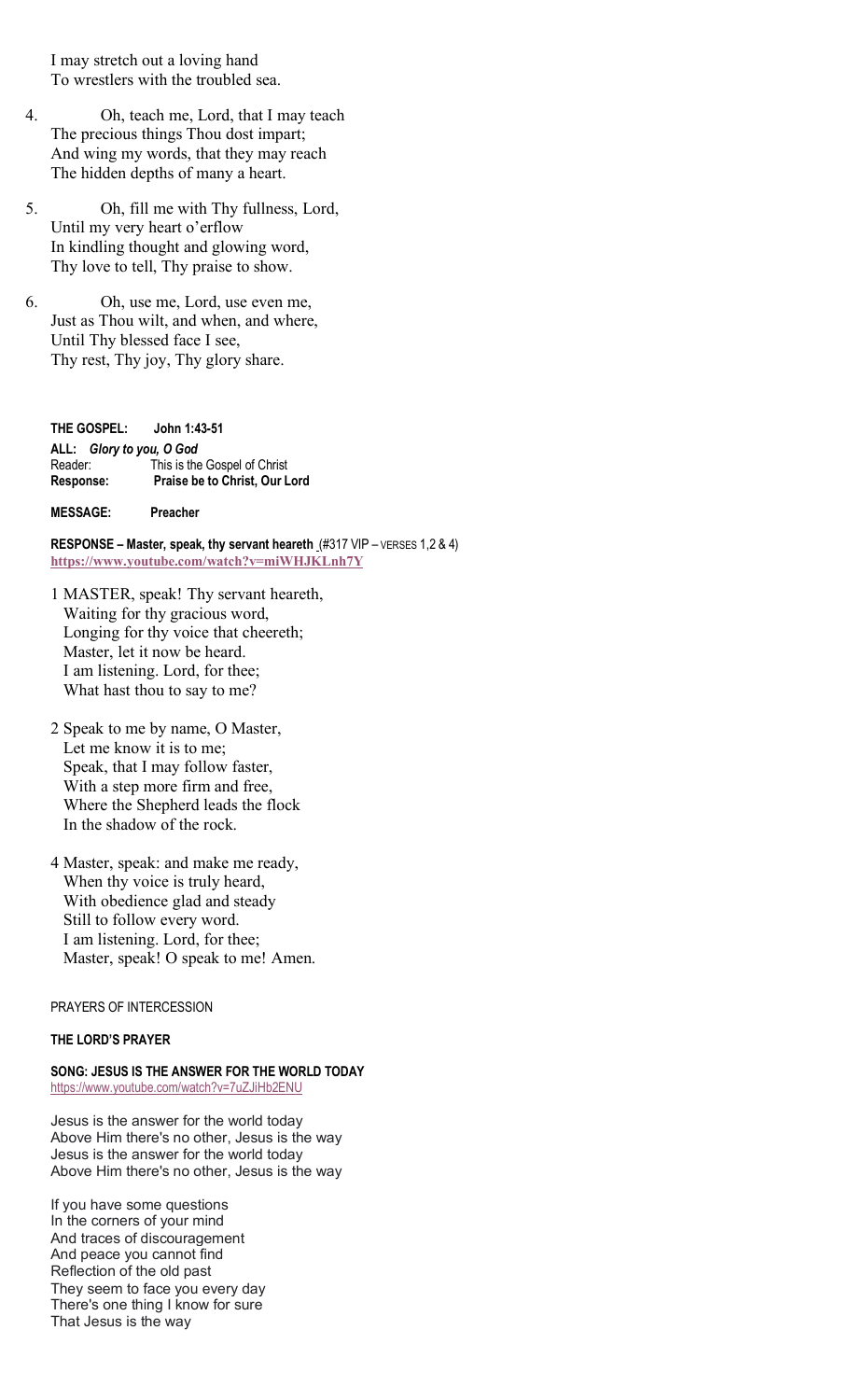I may stretch out a loving hand To wrestlers with the troubled sea.

- 4. Oh, teach me, Lord, that I may teach The precious things Thou dost impart; And wing my words, that they may reach The hidden depths of many a heart.
- 5. Oh, fill me with Thy fullness, Lord, Until my very heart o'erflow In kindling thought and glowing word, Thy love to tell, Thy praise to show.
- 6. Oh, use me, Lord, use even me, Just as Thou wilt, and when, and where, Until Thy blessed face I see, Thy rest, Thy joy, Thy glory share.

**THE GOSPEL: John 1:43-51 ALL:** *Glory to you, O God* Reader: This is the Gospel of Christ **Response: Praise be to Christ, Our Lord** 

**MESSAGE: Preacher**

**RESPONSE – Master, speak, thy servant heareth** (#317 VIP – VERSES 1,2 & 4) **https://www.youtube.com/watch?v=miWHJKLnh7Y**

- 1 MASTER, speak! Thy servant heareth, Waiting for thy gracious word, Longing for thy voice that cheereth; Master, let it now be heard. I am listening. Lord, for thee; What hast thou to say to me?
- 2 Speak to me by name, O Master, Let me know it is to me; Speak, that I may follow faster, With a step more firm and free, Where the Shepherd leads the flock In the shadow of the rock.
- 4 Master, speak: and make me ready, When thy voice is truly heard, With obedience glad and steady Still to follow every word. I am listening. Lord, for thee; Master, speak! O speak to me! Amen.

### PRAYERS OF INTERCESSION

#### **THE LORD'S PRAYER**

#### **SONG: JESUS IS THE ANSWER FOR THE WORLD TODAY** https://www.youtube.com/watch?v=7uZJiHb2ENU

Jesus is the answer for the world today Above Him there's no other, Jesus is the way Jesus is the answer for the world today Above Him there's no other, Jesus is the way

If you have some questions In the corners of your mind And traces of discouragement And peace you cannot find Reflection of the old past They seem to face you every day There's one thing I know for sure That Jesus is the way